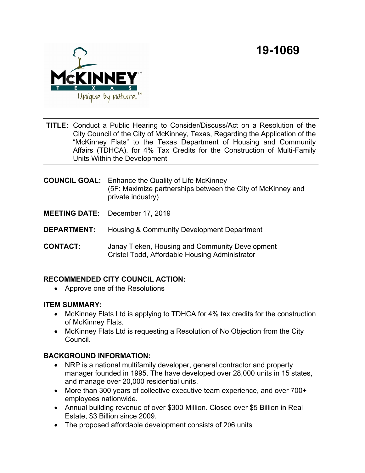

**TITLE:** Conduct a Public Hearing to Consider/Discuss/Act on a Resolution of the City Council of the City of McKinney, Texas, Regarding the Application of the "McKinney Flats" to the Texas Department of Housing and Community Affairs (TDHCA), for 4% Tax Credits for the Construction of Multi-Family Units Within the Development

- **COUNCIL GOAL:** Enhance the Quality of Life McKinney (5F: Maximize partnerships between the City of McKinney and private industry)
- **MEETING DATE:** December 17, 2019
- **DEPARTMENT:** Housing & Community Development Department
- **CONTACT:** Janay Tieken, Housing and Community Development Cristel Todd, Affordable Housing Administrator

### **RECOMMENDED CITY COUNCIL ACTION:**

· Approve one of the Resolutions

#### **ITEM SUMMARY:**

- · McKinney Flats Ltd is applying to TDHCA for 4% tax credits for the construction of McKinney Flats.
- · McKinney Flats Ltd is requesting a Resolution of No Objection from the City **Council**

### **BACKGROUND INFORMATION:**

- NRP is a national multifamily developer, general contractor and property manager founded in 1995. The have developed over 28,000 units in 15 states, and manage over 20,000 residential units.
- · More than 300 years of collective executive team experience, and over 700+ employees nationwide.
- · Annual building revenue of over \$300 Million. Closed over \$5 Billion in Real Estate, \$3 Billion since 2009.
- · The proposed affordable development consists of 206 units.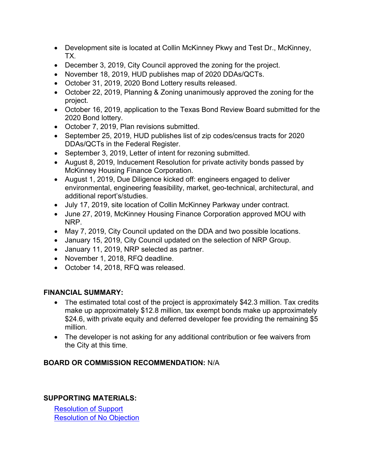- · Development site is located at Collin McKinney Pkwy and Test Dr., McKinney, TX.
- December 3, 2019, City Council approved the zoning for the project.
- · November 18, 2019, HUD publishes map of 2020 DDAs/QCTs.
- · October 31, 2019, 2020 Bond Lottery results released.
- · October 22, 2019, Planning & Zoning unanimously approved the zoning for the project.
- · October 16, 2019, application to the Texas Bond Review Board submitted for the 2020 Bond lottery.
- · October 7, 2019, Plan revisions submitted.
- · September 25, 2019, HUD publishes list of zip codes/census tracts for 2020 DDAs/QCTs in the Federal Register.
- September 3, 2019, Letter of intent for rezoning submitted.
- · August 8, 2019, Inducement Resolution for private activity bonds passed by McKinney Housing Finance Corporation.
- · August 1, 2019, Due Diligence kicked off: engineers engaged to deliver environmental, engineering feasibility, market, geo-technical, architectural, and additional report's/studies.
- · July 17, 2019, site location of Collin McKinney Parkway under contract.
- · June 27, 2019, McKinney Housing Finance Corporation approved MOU with NRP.
- · May 7, 2019, City Council updated on the DDA and two possible locations.
- · January 15, 2019, City Council updated on the selection of NRP Group.
- · January 11, 2019, NRP selected as partner.
- · November 1, 2018, RFQ deadline.
- · October 14, 2018, RFQ was released.

## **FINANCIAL SUMMARY:**

- The estimated total cost of the project is approximately \$42.3 million. Tax credits make up approximately \$12.8 million, tax exempt bonds make up approximately \$24.6, with private equity and deferred developer fee providing the remaining \$5 million.
- · The developer is not asking for any additional contribution or fee waivers from the City at this time.

# **BOARD OR COMMISSION RECOMMENDATION:** N/A

## **SUPPORTING MATERIALS:**

[Resolution of Support](View.ashx?M=F&ID=7960255&GUID=05249ED3-4FE2-4084-9EB1-586B05FD7D1B) [Resolution of No Objection](View.ashx?M=F&ID=7960256&GUID=931BCFB6-D80F-485B-9C88-E2CECD4F67F1)